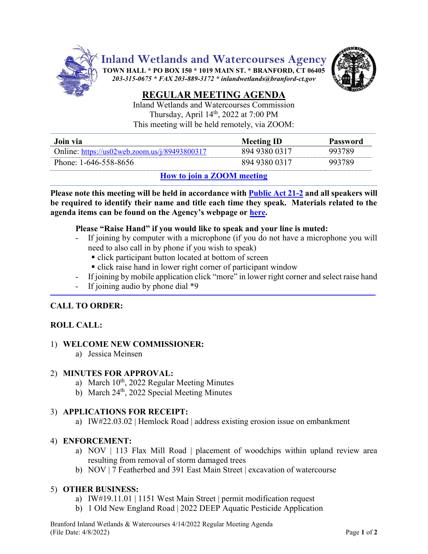

**Inland Wetlands and Watercourses Agency**

**TOWN HALL \* PO BOX 150 \* 1019 MAIN ST. \* BRANFORD, CT 06405** *203-315-0675 \* FAX 203-889-3172 \* inlandwetlands@branford-ct.gov* 



# **REGULAR MEETING AGENDA**

Inland Wetlands and Watercourses Commission Thursday, April 14<sup>th</sup>, 2022 at 7:00 PM This meeting will be held remotely, via ZOOM:

| Join via                                                                                      | <b>Meeting ID</b> | Password |
|-----------------------------------------------------------------------------------------------|-------------------|----------|
| Online: $\frac{https://us02web.zoom.us/j/89493800317}{https://us02web.zoom.us/j/89493800317}$ | 894 9380 0317     | 993789   |
| Phone: 1-646-558-8656                                                                         | 894 9380 0317     | 993789   |

# **How [to join a ZOOM meeting](https://www.youtube.com/embed/hIkCmbvAHQQ?rel=0&autoplay=1&cc_load_policy=1)**

**Please note this meeting will be held in accordance wit[h Public Act 21-2](https://www.cga.ct.gov/2021/ACT/PA/PDF/2021PA-00002-R00SB-01202SS1-PA.PDF) and all speakers will be required to identify their name and title each time they speak. Materials related to the agenda items can be found on the Agency's webpage or [here.](https://www.dropbox.com/sh/aaqscumbqriwlm5/AADJjQJHfo-OSq0EKF8GdRqaa?dl=0)**

#### **Please "Raise Hand" if you would like to speak and your line is muted:**

- If joining by computer with a microphone (if you do not have a microphone you will need to also call in by phone if you wish to speak)
	- click participant button located at bottom of screen
	- **click raise hand in lower right corner of participant window**
- If joining by mobile application click "more" in lower right corner and select raise hand
- If joining audio by phone dial  $*9$

# **CALL TO ORDER:**

# **ROLL CALL:**

#### 1) **WELCOME NEW COMMISSIONER:**

a) Jessica Meinsen

#### 2) **MINUTES FOR APPROVAL:**

- a) March 10<sup>th</sup>, 2022 Regular Meeting Minutes
- b) March  $24<sup>th</sup>$ , 2022 Special Meeting Minutes

# 3) **APPLICATIONS FOR RECEIPT:**

a) IW#22.03.02 | Hemlock Road | address existing erosion issue on embankment

# 4) **ENFORCEMENT:**

- a) NOV | 113 Flax Mill Road | placement of woodchips within upland review area resulting from removal of storm damaged trees
- b) NOV | 7 Featherbed and 391 East Main Street | excavation of watercourse

# 5) **OTHER BUSINESS:**

- a) IW#19.11.01 | 1151 West Main Street | permit modification request
- b) 1 Old New England Road | 2022 DEEP Aquatic Pesticide Application